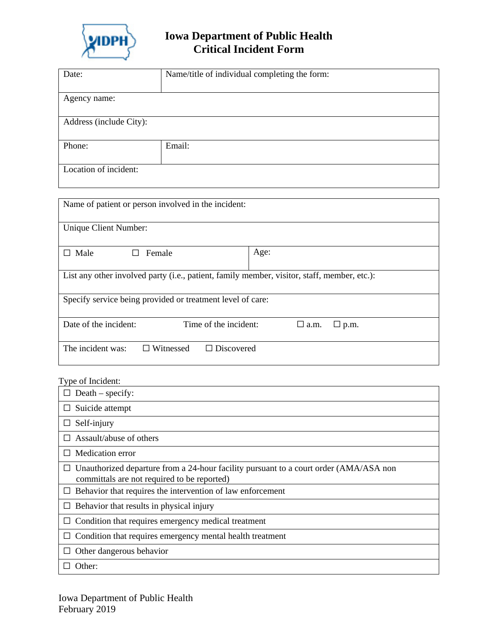

## **Iowa Department of Public Health Critical Incident Form**

| Date:                   | Name/title of individual completing the form: |
|-------------------------|-----------------------------------------------|
|                         |                                               |
|                         |                                               |
|                         |                                               |
| Agency name:            |                                               |
|                         |                                               |
|                         |                                               |
|                         |                                               |
| Address (include City): |                                               |
|                         |                                               |
|                         |                                               |
|                         |                                               |
| Phone:                  | Email:                                        |
|                         |                                               |
|                         |                                               |
|                         |                                               |
| Location of incident:   |                                               |
|                         |                                               |
|                         |                                               |
|                         |                                               |

| Name of patient or person involved in the incident:                                         |      |  |  |
|---------------------------------------------------------------------------------------------|------|--|--|
| Unique Client Number:                                                                       |      |  |  |
| Male<br>Female                                                                              | Age: |  |  |
| List any other involved party (i.e., patient, family member, visitor, staff, member, etc.): |      |  |  |
| Specify service being provided or treatment level of care:                                  |      |  |  |
| Date of the incident:<br>Time of the incident:<br>$\Box$ a.m.<br>$\Box$ p.m.                |      |  |  |
| The incident was:<br>Witnessed<br>$\Box$ Discovered<br>$\Box$                               |      |  |  |

## Type of Incident:

| $Death - specify:$                                                                                                                          |  |
|---------------------------------------------------------------------------------------------------------------------------------------------|--|
| Suicide attempt                                                                                                                             |  |
| Self-injury<br>⊔                                                                                                                            |  |
| Assault/abuse of others                                                                                                                     |  |
| Medication error<br>$\mathsf{L}$                                                                                                            |  |
| $\Box$ Unauthorized departure from a 24-hour facility pursuant to a court order (AMA/ASA non<br>committals are not required to be reported) |  |
| Behavior that requires the intervention of law enforcement                                                                                  |  |
| Behavior that results in physical injury                                                                                                    |  |
| Condition that requires emergency medical treatment                                                                                         |  |
| Condition that requires emergency mental health treatment                                                                                   |  |
| Other dangerous behavior                                                                                                                    |  |
| Other:                                                                                                                                      |  |